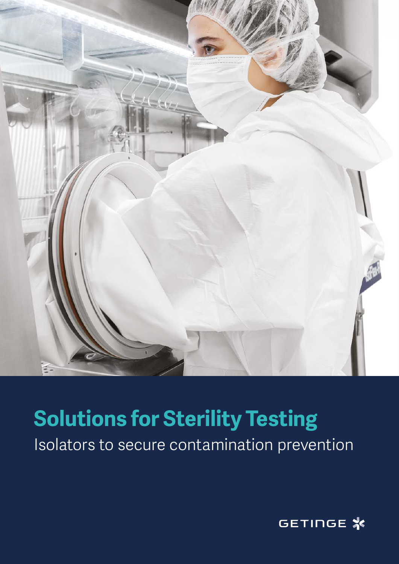

### **Solutions for Sterility Testing**

Isolators to secure contamination prevention

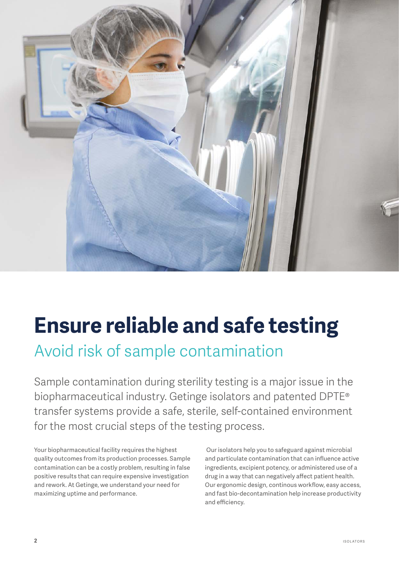

### **Ensure reliable and safe testing**

Avoid risk of sample contamination

Sample contamination during sterility testing is a major issue in the biopharmaceutical industry. Getinge isolators and patented DPTE® transfer systems provide a safe, sterile, self-contained environment for the most crucial steps of the testing process.

Your biopharmaceutical facility requires the highest quality outcomes from its production processes. Sample contamination can be a costly problem, resulting in false positive results that can require expensive investigation and rework. At Getinge, we understand your need for maximizing uptime and performance.

 Our isolators help you to safeguard against microbial and particulate contamination that can influence active ingredients, excipient potency, or administered use of a drug in a way that can negatively affect patient health. Our ergonomic design, continous workflow, easy access, and fast bio-decontamination help increase productivity and efficiency.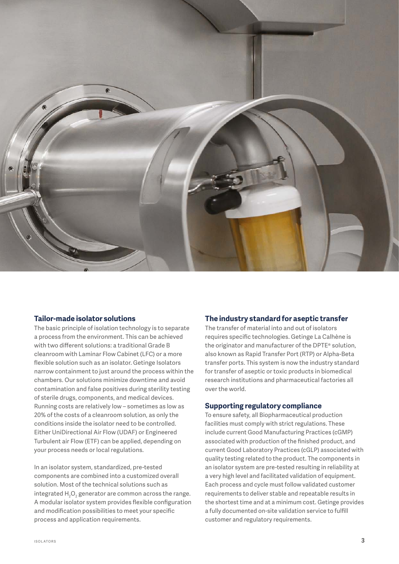

#### **Tailor-made isolator solutions**

The basic principle of isolation technology is to separate a process from the environment. This can be achieved with two different solutions: a traditional Grade B cleanroom with Laminar Flow Cabinet (LFC) or a more flexible solution such as an isolator. Getinge Isolators narrow containment to just around the process within the chambers. Our solutions minimize downtime and avoid contamination and false positives during sterility testing of sterile drugs, components, and medical devices. Running costs are relatively low – sometimes as low as 20% of the costs of a cleanroom solution, as only the conditions inside the isolator need to be controlled. Either UniDirectional Air Flow (UDAF) or Engineered Turbulent air Flow (ETF) can be applied, depending on your process needs or local regulations.

In an isolator system, standardized, pre-tested components are combined into a customized overall solution. Most of the technical solutions such as integrated  ${\sf H}_{\mathfrak{z}}{\sf O}_{\mathfrak{z}}$  generator are common across the range. A modular isolator system provides flexible configuration and modification possibilities to meet your specific process and application requirements.

#### **The industry standard for aseptic transfer**

The transfer of material into and out of isolators requires specific technologies. Getinge La Calhène is the originator and manufacturer of the DPTE® solution, also known as Rapid Transfer Port (RTP) or Alpha-Beta transfer ports. This system is now the industry standard for transfer of aseptic or toxic products in biomedical research institutions and pharmaceutical factories all over the world.

#### **Supporting regulatory compliance**

To ensure safety, all Biopharmaceutical production facilities must comply with strict regulations. These include current Good Manufacturing Practices (cGMP) associated with production of the finished product, and current Good Laboratory Practices (cGLP) associated with quality testing related to the product. The components in an isolator system are pre-tested resulting in reliability at a very high level and facilitated validation of equipment. Each process and cycle must follow validated customer requirements to deliver stable and repeatable results in the shortest time and at a minimum cost. Getinge provides a fully documented on-site validation service to fulfill customer and regulatory requirements.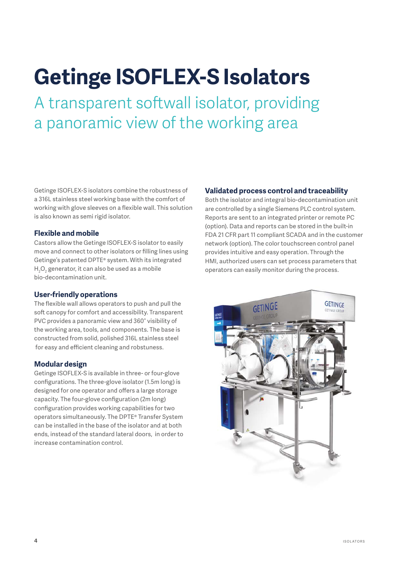# **Getinge ISOFLEX-S Isolators**

A transparent softwall isolator, providing a panoramic view of the working area

Getinge ISOFLEX-S isolators combine the robustness of a 316L stainless steel working base with the comfort of working with glove sleeves on a flexible wall. This solution is also known as semi rigid isolator.

#### **Flexible and mobile**

Castors allow the Getinge ISOFLEX-S isolator to easily move and connect to other isolators or filling lines using Getinge's patented DPTE® system. With its integrated  ${\sf H}_{{}_2}{\sf O}_{{}_2}$  generator, it can also be used as a mobile bio-decontamination unit.

#### **User-friendly operations**

The flexible wall allows operators to push and pull the soft canopy for comfort and accessibility. Transparent PVC provides a panoramic view and 360° visibility of the working area, tools, and components. The base is constructed from solid, polished 316L stainless steel for easy and efficient cleaning and robstuness.

#### **Modular design**

Getinge ISOFLEX-S is available in three- or four-glove configurations. The three-glove isolator (1.5m long) is designed for one operator and offers a large storage capacity. The four-glove configuration (2m long) configuration provides working capabilities for two operators simultaneously. The DPTE® Transfer System can be installed in the base of the isolator and at both ends, instead of the standard lateral doors, in order to increase contamination control.

#### **Validated process control and traceability**

Both the isolator and integral bio-decontamination unit are controlled by a single Siemens PLC control system. Reports are sent to an integrated printer or remote PC (option). Data and reports can be stored in the built-in FDA 21 CFR part 11 compliant SCADA and in the customer network (option). The color touchscreen control panel provides intuitive and easy operation. Through the HMI, authorized users can set process parameters that operators can easily monitor during the process.

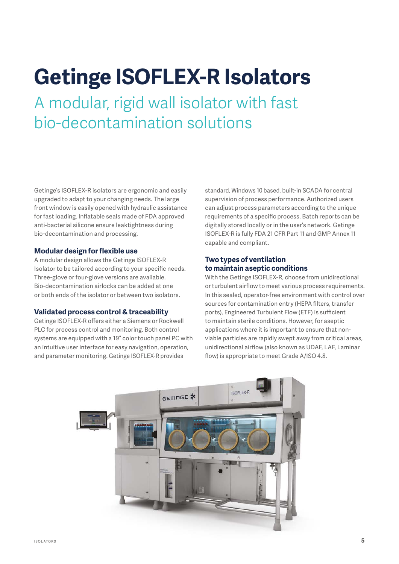## **Getinge ISOFLEX-R Isolators**

A modular, rigid wall isolator with fast bio-decontamination solutions

Getinge's ISOFLEX-R isolators are ergonomic and easily upgraded to adapt to your changing needs. The large front window is easily opened with hydraulic assistance for fast loading. Inflatable seals made of FDA approved anti-bacterial silicone ensure leaktightness during bio-decontamination and processing.

#### **Modular design for flexible use**

A modular design allows the Getinge ISOFLEX-R Isolator to be tailored according to your specific needs. Three-glove or four-glove versions are available. Bio-decontamination airlocks can be added at one or both ends of the isolator or between two isolators.

#### **Validated process control & traceability**

Getinge ISOFLEX-R offers either a Siemens or Rockwell PLC for process control and monitoring. Both control systems are equipped with a 19" color touch panel PC with an intuitive user interface for easy navigation, operation, and parameter monitoring. Getinge ISOFLEX-R provides

standard, Windows 10 based, built-in SCADA for central supervision of process performance. Authorized users can adjust process parameters according to the unique requirements of a specific process. Batch reports can be digitally stored locally or in the user's network. Getinge ISOFLEX-R is fully FDA 21 CFR Part 11 and GMP Annex 11 capable and compliant.

#### **Two types of ventilation to maintain aseptic conditions**

With the Getinge ISOFLEX-R, choose from unidirectional or turbulent airflow to meet various process requirements. In this sealed, operator-free environment with control over sources for contamination entry (HEPA filters, transfer ports), Engineered Turbulent Flow (ETF) is sufficient to maintain sterile conditions. However, for aseptic applications where it is important to ensure that nonviable particles are rapidly swept away from critical areas, unidirectional airflow (also known as UDAF, LAF, Laminar flow) is appropriate to meet Grade A/ISO 4.8.

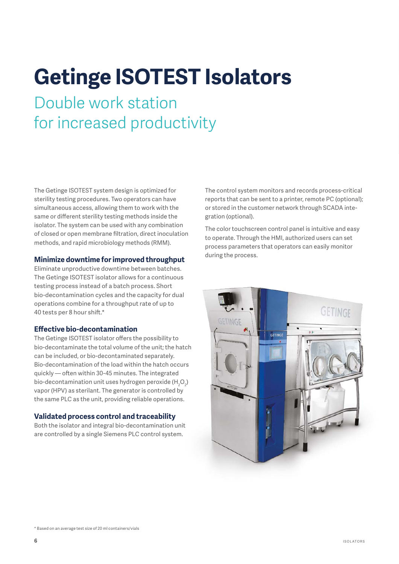# **Getinge ISOTEST Isolators**

Double work station for increased productivity

The Getinge ISOTEST system design is optimized for sterility testing procedures. Two operators can have simultaneous access, allowing them to work with the same or different sterility testing methods inside the isolator. The system can be used with any combination of closed or open membrane filtration, direct inoculation methods, and rapid microbiology methods (RMM).

#### **Minimize downtime for improved throughput**

Eliminate unproductive downtime between batches. The Getinge ISOTEST isolator allows for a continuous testing process instead of a batch process. Short bio-decontamination cycles and the capacity for dual operations combine for a throughput rate of up to 40 tests per 8 hour shift.\*

#### **Effective bio-decontamination**

The Getinge ISOTEST isolator offers the possibility to bio-decontaminate the total volume of the unit; the hatch can be included, or bio-decontaminated separately. Bio-decontamination of the load within the hatch occurs quickly — often within 30-45 minutes. The integrated bio-decontamination unit uses hydrogen peroxide (H $_{2}$ O $_{2}$ ) vapor (HPV) as sterilant. The generator is controlled by the same PLC as the unit, providing reliable operations.

#### **Validated process control and traceability**

Both the isolator and integral bio-decontamination unit are controlled by a single Siemens PLC control system.

The control system monitors and records process-critical reports that can be sent to a printer, remote PC (optional); or stored in the customer network through SCADA integration (optional).

The color touchscreen control panel is intuitive and easy to operate. Through the HMI, authorized users can set process parameters that operators can easily monitor during the process.

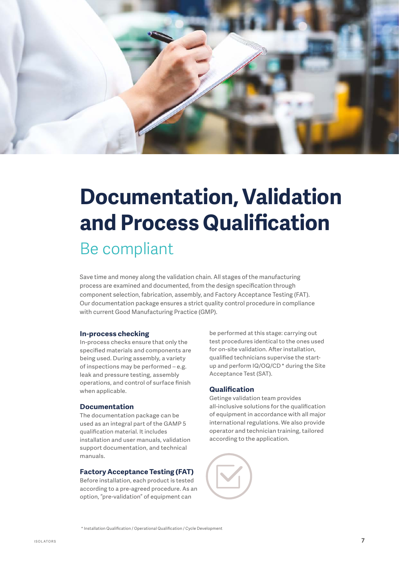

### **Documentation, Validation and Process Qualification** Be compliant

Save time and money along the validation chain. All stages of the manufacturing process are examined and documented, from the design specification through component selection, fabrication, assembly, and Factory Acceptance Testing (FAT). Our documentation package ensures a strict quality control procedure in compliance with current Good Manufacturing Practice (GMP).

#### **In-process checking**

In-process checks ensure that only the specified materials and components are being used. During assembly, a variety of inspections may be performed – e.g. leak and pressure testing, assembly operations, and control of surface finish when applicable.

#### **Documentation**

The documentation package can be used as an integral part of the GAMP 5 qualification material. It includes installation and user manuals, validation support documentation, and technical manuals.

#### **Factory Acceptance Testing (FAT)**

Before installation, each product is tested according to a pre-agreed procedure. As an option, "pre-validation" of equipment can

be performed at this stage: carrying out test procedures identical to the ones used for on-site validation. After installation, qualified technicians supervise the startup and perform IQ/OQ/CD \* during the Site Acceptance Test (SAT).

#### **Qualification**

Getinge validation team provides all-inclusive solutions for the qualification of equipment in accordance with all major international regulations. We also provide operator and technician training, tailored according to the application.



\* Installation Qualification / Operational Qualification / Cycle Development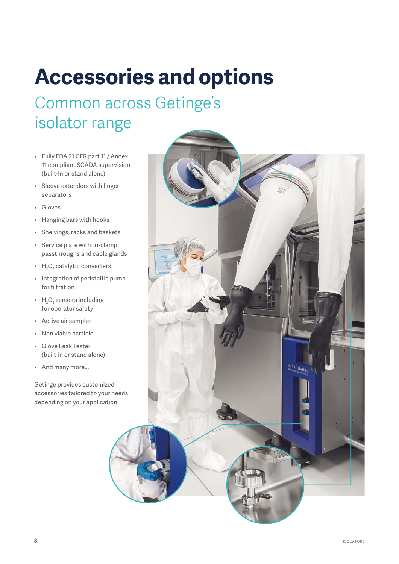## **Accessories and options**

### Common across Getinge's isolator range

- Fully FDA 21 CFR part 11 / Annex 11 compliant SCADA supervision (built-In or stand alone)
- Sleeve extenders with finger separators
- Gloves
- Hanging bars with hooks
- Shelvings, racks and baskets
- Service plate with tri-clamp passthroughs and cable glands
- $H_2O_2$  catalytic converters
- Integration of peristaltic pump for filtration
- $H_2O_2$  sensors including for operator safety
- Active air sampler
- Non viable particle
- Glove Leak Tester (built-in or stand alone)
- And many more...

Getinge provides customized accessories tailored to your needs depending on your application.

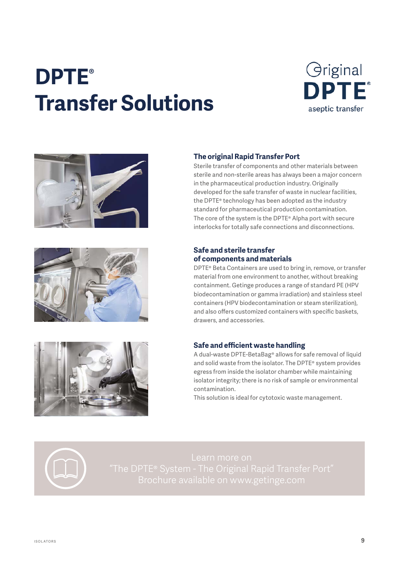### **DPTE® Transfer Solutions**









#### **The original Rapid Transfer Port**

Sterile transfer of components and other materials between sterile and non-sterile areas has always been a major concern in the pharmaceutical production industry. Originally developed for the safe transfer of waste in nuclear facilities, the DPTE® technology has been adopted as the industry standard for pharmaceutical production contamination. The core of the system is the DPTE® Alpha port with secure interlocks for totally safe connections and disconnections.

#### **Safe and sterile transfer of components and materials**

DPTE® Beta Containers are used to bring in, remove, or transfer material from one environment to another, without breaking containment. Getinge produces a range of standard PE (HPV biodecontamination or gamma irradiation) and stainless steel containers (HPV biodecontamination or steam sterilization), and also offers customized containers with specific baskets, drawers, and accessories.

#### **Safe and efficient waste handling**

A dual-waste DPTE-BetaBag® allows for safe removal of liquid and solid waste from the isolator. The DPTE® system provides egress from inside the isolator chamber while maintaining isolator integrity; there is no risk of sample or environmental contamination.

This solution is ideal for cytotoxic waste management.

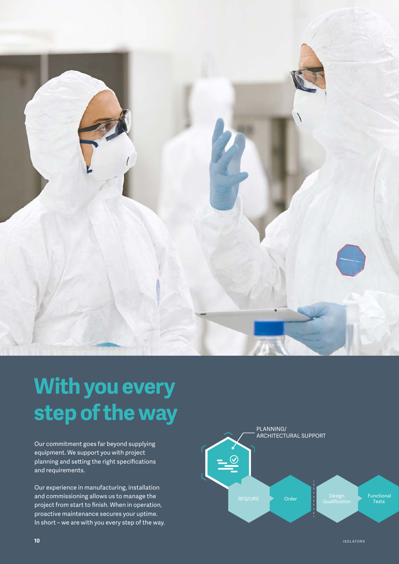

# **With you every step of the way**

Our commitment goes far beyond supplying equipment. We support you with project planning and setting the right specifications and requirements.

Our experience in manufacturing, installation and commissioning allows us to manage the project from start to finish. When in operation, proactive maintenance secures your uptime. In short – we are with you every step of the way.

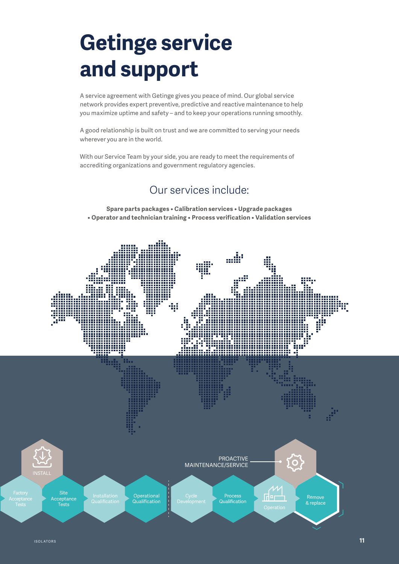### **Getinge service and support**

A service agreement with Getinge gives you peace of mind. Our global service network provides expert preventive, predictive and reactive maintenance to help you maximize uptime and safety – and to keep your operations running smoothly.

A good relationship is built on trust and we are committed to serving your needs wherever you are in the world.

With our Service Team by your side, you are ready to meet the requirements of accrediting organizations and government regulatory agencies.

### Our services include:

**Spare parts packages • Calibration services • Upgrade packages • Operator and technician training • Process verification • Validation services**